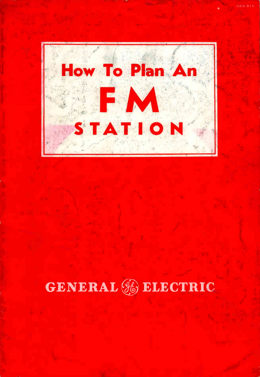

# GENERAL & ELECTRIC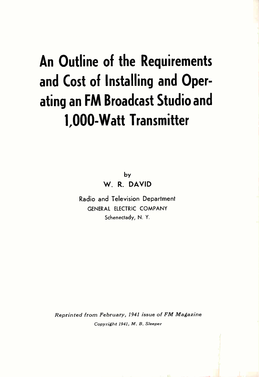## An Outline of the Requirements and Cost of Installing and Operating an FM Broadcast Studio and 1,000-Watt Transmitter

by W. R. DAVID

Radio and Television Department GENERAL ELECTRIC COMPANY Schenectady, N. Y.

Reprinted from February, 1941 issue of FM Magazine Copyright 1941, M. B. Sleeper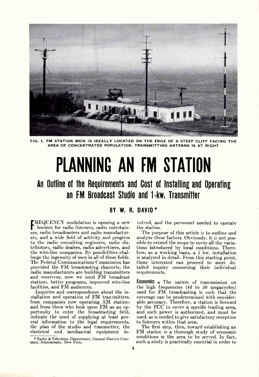

FIG. 1. FM STATION W57A IS IDEALLY LOCATED ON THE EDGE OF A STEEP CLIFF FACING THE AREA OF CONCENTRATED POPULATION. TRANSMITTING ANTENNA IS AT RIGHT

# PLANNING AN FM STATION

## An Outline of the Requirements and Cost of Installing and Operating an FM Broadcast Studio and 1-kw. Transmitter

### BY W. R. DAVID  $*$

REQUENCY modulation is opening a new horizon for radio listeners, radio entertainers, radio broadcasters and radio manufacturers, and a wide field of activity and progress to the radio consulting engineers, radio distributors, radio dealers, radio advertisers, and the wire-line companies. Its possibilities challenge the ingenuity of men in all of these fields. The Federal Communications Commission has provided the FM broadcasting channels; the radio manufacturers are building transmitters and receivers; now we need FM broadcast stations, better programs, improved wire-line facilities, and FM audiences.

Inquiries and correspondence about the installation and operation of FM transmitters, from companies now operating AM stations and from those who look upon FM as an opportunity to enter the broadcasting field, indicate the need of supplying at least general information to the legal requirements, the plan of the studio and transmitter, the electrical and mechanical equipment in

volved, and the personnel needed to operate the station.

The purpose of this article is to outline and analyze these factors. Obviously, it is not possible to extend the scope to cover all the variations introduced by local conditions. Therefore, as a working basis, a 1 kw. installation is analyzed in detail. From this starting point, those interested can proceed to more detailed inquiry concerning their individual requirements.

**Economics**  $\star$  The nature of transmission on the high frequencies  $(42 \text{ to } 50 \text{ megacycles})$ used for FM broadcasting is such that the coverage can be predetermined with considerable accuracy. Therefore, a station is licensed by the FCC to cover a specific trading area, and such power is authorized, and must be used, as is needed to give satisfactory reception to listeners within that area.

The first step, then, toward establishing an FM station is a thorough study of economic conditions in the area to be served. In fact, such a study is practically essential in order to

<sup>\*</sup>Radio & Television Department, General Electric Com-pany, Schenectady, New York.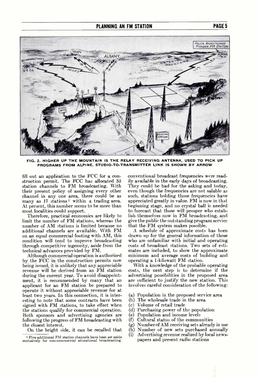

FIG. 2. HIGHER UP THE MOUNTAIN IS THE RELAY RECEIVING ANTENNA, USED TO PICK UP PROGRAMS FROM ALPINE, STUDIO-TO-TRANSMITTER LINK IS SHOWN BY ARROW

fill out an application to the FCC for a construction permit. The FCC has allocated 85 station channels to FM broadcasting. With their present policy of assigning every other channel in any one area, there could be as many as  $17$  stations<sup>1</sup> within a trading area. At present, this number seems to be more than most localities could support.

Therefore, practical economics are likely to limit the number of FM stations, whereas the number of AM stations is limited because no additional channels are available. With FM on an equal commercial footing with AM, this condition will tend to improve broadcasting through competitive ingenuity, aside from the technical advances provided by FM.

Although commercial operation is authorized by the FCC in the construction permits now being issued, it is unlikely that any appreciable revenue will be derived from an FM station during the current year. To avoid disappointment, it is recommended by many that an applicant for an FM station be prepared to operate it without appreciable revenue for at least two years. In this connection, it is interesting to note that some contracts have been signed with FM stations, to take effect when the stations qualify for commercial operation. Both sponsors and advertising agencies are following the progress of FM broadcasting with the closest interest.

On the bright side, it can be recalled that

conventional broadcast frequencies were readily available in the early days of broadcasting. They could be had for the asking and today, even though the frequencies are not salable as such, stations holding those frequencies have appreciated greatly in value. FM is now in that beginning stage, and no crystal ball is needed to forecast that those will prosper who establish themselves now in FM broadcasting, and give the public the outstanding program service that the FM system makes possible.

A schedule of approximate costs has been drawn up for the general information of those who are unfamiliar with initial and operating costs of broadcast stations. Two sets of estimates are included, to show the approximate minimum and average costs of building and operating a 1-kilowatt FM station.

With a knowledge of the probable operating costs, the next step is to determine if the advertising possibilities in the proposed area are sufficient to justify the new station. This involves careful consideration of the following:

- (a) Population in the proposed service area
- (b) The wholesale trade in the area
- (c) Volume of retail trade
- (d) Purchasing power of the population
- (e) Population and income levels
- (f) Cultural status of the communities
- (g) Number of AM receiving sets already in use
- (h) Number of new sets purchased annually
- (i) Advertising revenue realized by local newspapers and present radio stations

Five additional FM station channels have been set aside exclusively for non-commercial educational broadcasting.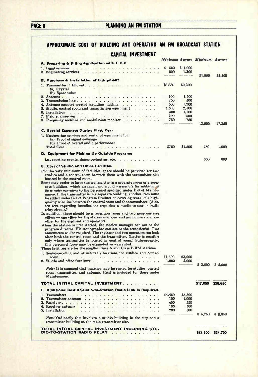### PAGE 6 PLANNING AN FM STATION

### APPROXIMATE COST OF BUILDING AND OPERATING AN FM BROADCAST STATION CAPITAL INVESTMENT

|                                                                                                                                                                                                                                                   |            |            | Minimum Average Minimum | Average  |  |
|---------------------------------------------------------------------------------------------------------------------------------------------------------------------------------------------------------------------------------------------------|------------|------------|-------------------------|----------|--|
| A. Preparing & Filing Application with F.C.C.                                                                                                                                                                                                     |            |            |                         |          |  |
| 1. Legal services and a construction of the construction of the construction of the construction of the construction of the construction of the construction of the construction of the construction of the construction of th                    | \$ 500     | \$1,000    |                         |          |  |
| 2. Engineerng services<br>investment of the second or the second                                                                                                                                                                                  | 500        | 1,200      |                         |          |  |
|                                                                                                                                                                                                                                                   |            |            | \$1,000                 | \$2,200  |  |
| <b>B. Purchase &amp; Installation of Equipment</b>                                                                                                                                                                                                |            |            |                         |          |  |
|                                                                                                                                                                                                                                                   | \$8,850    | \$9,300    |                         |          |  |
| (a) Crystal                                                                                                                                                                                                                                       |            |            |                         |          |  |
| (b) Spare tubes                                                                                                                                                                                                                                   | 100        | 1,500      |                         |          |  |
| 3. Transmission line                                                                                                                                                                                                                              | 200        | 500        |                         |          |  |
| 4. Antenna support erected including lighting $\ldots$                                                                                                                                                                                            | 500        | 1,200      |                         |          |  |
| 5. Studio, control room and transcription equipment<br>and a series of                                                                                                                                                                            | 1,500      | 2,500      |                         |          |  |
| 6. Installation<br>the companion of the companion of the companion of the companion of the companion of the companion of the companion of the companion of the companion of the companion of the companion of the companion of the companion of t | 400        | 1,100      |                         |          |  |
|                                                                                                                                                                                                                                                   | 200        | 500        |                         |          |  |
| 8. Frequency monitor and modulation monitor                                                                                                                                                                                                       | 750        | 750        |                         |          |  |
|                                                                                                                                                                                                                                                   |            |            | 12,500                  | 17,350   |  |
| C. Special Expenses During First Year                                                                                                                                                                                                             |            |            |                         |          |  |
| 1. Engineering services and rental of equipment for:                                                                                                                                                                                              |            |            |                         |          |  |
| (a) Proof of signal coverage                                                                                                                                                                                                                      |            |            |                         |          |  |
| (b) Proof of overall audio performance                                                                                                                                                                                                            |            |            |                         |          |  |
| Total Cost                                                                                                                                                                                                                                        | \$750      | \$1,500    | 750                     | 1,500    |  |
| D. Equipment for Picking Up Outside Programs                                                                                                                                                                                                      |            |            |                         |          |  |
|                                                                                                                                                                                                                                                   |            |            |                         |          |  |
| i.e., sporting events, dance orchestras, etc.                                                                                                                                                                                                     |            |            | 300                     | 600      |  |
| E. Cost of Studio and Office Facilities                                                                                                                                                                                                           |            |            |                         |          |  |
| For the very minimum of facilities, space should be provided for two                                                                                                                                                                              |            |            |                         |          |  |
| studios and a control room between them with the transmitter also                                                                                                                                                                                 |            |            |                         |          |  |
| located in the control room.                                                                                                                                                                                                                      |            |            |                         |          |  |
| Some may prefer to have the transmitter in a separate room or a sepa-                                                                                                                                                                             |            |            |                         |          |  |
| rate building, which arrangement would necessitate the addition of                                                                                                                                                                                |            |            |                         |          |  |
| three radio operators to the personnel specified under B-3 of Mainte-<br>nance. If the transmitter is in a separate building, another item must                                                                                                   |            |            |                         |          |  |
| be added under C-1 of Program Production covering rental of a high-                                                                                                                                                                               |            |            |                         |          |  |
| quality wire line between the control room and the transmitter. (Also,                                                                                                                                                                            |            |            |                         |          |  |
| see text regarding installations requiring a studio-to-station radio                                                                                                                                                                              |            |            |                         |          |  |
| relay circuit.)                                                                                                                                                                                                                                   |            |            |                         |          |  |
| In addition, there should be a reception room and two generous size                                                                                                                                                                               |            |            |                         |          |  |
| offices $\sim$ one office for the station manager and announcers and an-                                                                                                                                                                          |            |            |                         |          |  |
| other for the engineer and operators.                                                                                                                                                                                                             |            |            |                         |          |  |
| When the station is first started, the station manager can act as the<br>program director. His stenographer can act as the receptionist. Two                                                                                                      |            |            |                         |          |  |
| announcers will be required. The engineer and two operators can look                                                                                                                                                                              |            |            |                         |          |  |
| after both the control room and the transmitter. (Latter is possible                                                                                                                                                                              |            |            |                         |          |  |
| only where transmitter is located in control room.) Subsequently,                                                                                                                                                                                 |            |            |                         |          |  |
| this personnel force may be expanded as warranted.                                                                                                                                                                                                |            |            |                         |          |  |
| These facilities are for the smaller Class A and Class B FM stations.                                                                                                                                                                             |            |            |                         |          |  |
| 1. Sound-proofing and structural alterations for studios and control                                                                                                                                                                              |            |            |                         |          |  |
|                                                                                                                                                                                                                                                   | \$1,500    | \$3,000    |                         |          |  |
| 2. Studio and office furniture $\ldots$ ,                                                                                                                                                                                                         | 1,000      | 2,000      |                         |          |  |
| <i>Note:</i> It is assumed that quarters may be rented for studios, control                                                                                                                                                                       |            |            | \$2,500                 | \$5,000  |  |
| room, transmitter, and antenna. Rent is included for these under                                                                                                                                                                                  |            |            |                         |          |  |
| Maintenance.                                                                                                                                                                                                                                      |            |            |                         |          |  |
|                                                                                                                                                                                                                                                   |            |            |                         |          |  |
| TOTAL INITIAL CAPITAL INVESTMENT.                                                                                                                                                                                                                 |            |            | \$17,050                | \$26,650 |  |
| F. Additional Cost if Studio-to-Station Radio Link is Required.                                                                                                                                                                                   |            |            |                         |          |  |
|                                                                                                                                                                                                                                                   | \$4,450    | \$5,500    |                         |          |  |
| 2. Transmitter antenna                                                                                                                                                                                                                            | 100        | 1.000      |                         |          |  |
|                                                                                                                                                                                                                                                   | 400        | 550        |                         |          |  |
| 4. Receiver antenna                                                                                                                                                                                                                               | 100<br>200 | 500<br>500 |                         |          |  |
|                                                                                                                                                                                                                                                   |            |            | \$5,250                 | \$ 8,050 |  |
| <i>Note:</i> Ordinarily this involves a studio building in the city and a                                                                                                                                                                         |            |            |                         |          |  |
| transmitter building at the main transmitter site.                                                                                                                                                                                                |            |            |                         |          |  |
|                                                                                                                                                                                                                                                   |            |            |                         |          |  |
| TOTAL INITIAL CAPITAL INVESTMENT INCLUDING STU-<br>DIO-TO-STATION RADIO RELAY                                                                                                                                                                     |            |            | \$22,300                |          |  |
|                                                                                                                                                                                                                                                   |            |            |                         | \$34,700 |  |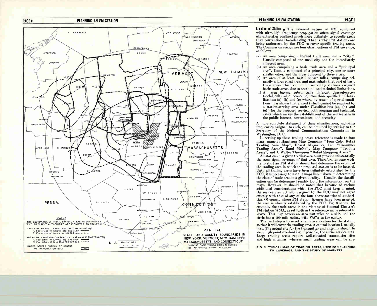



#### **PLANNING AN FM STATION**

**Location of Station**  $\star$  The inherent nature of FM combined with ultra-high frequency propagation offers signal coverage characteristics confined much more definitely to specific areas than conventional broadcasting. That is why FM stations are being authorized by the FCC to cover specific trading areas. The Commission recognizes four classifications of FM coverage. as follows:

- (a) An area comprising a limited trade area and a "city". Usually composed of one small city and the immediately adiacent area.
- (b) An area comprising a basic trade area and a "principal city". Usually composed of a principal city, one or more smaller cities, and the areas adjacent to these cities.
- (c) An area of at least 15,000 square miles, comprising primarily a large rural area, and particularly that part of basic trade areas which cannot be served by stations assigned basic trade areas, due to economic and technical limitations.
- (d) An area having substantially different characteristics (social, cultural, or economic) from those specified in Classifications (a), (b) and (c) where, by reason of special conditions, it is shown that a need (which cannot be supplied by a station-serving area under Classifications (a), (b) and (c) ) for the proposed service, both program and technical, exists which makes the establishment of the service area in the public interest, convenience, and necessity.

A more complete statement of these classifications, including frequencies assigned to each, can be obtained by writing to the Secretary of the Federal Communications Commission in Washington, D. C.

In setting up these trading areas, reference is made to four maps, namely: Hagstrom Map Company "Four-Color Retail Trading Area Map", Hearst Magazines, Inc. "Consumer<br>Trading Area Map", Hearst Magazines, Inc. "Consumer<br>Trading Areas", Rand McNally Map Company "Trading<br>Areas", and J. Walter Thompson "Retail Shopping Areas."

All stations in a given trading area must provide substantially the same signal coverage of that area. Therefore, anyone wishing to start an FM station should first determine the extent of the trading area in which the proposed station is to be located. Until all trading areas have been definitely established by the FCC, it is necessary to use the maps listed above in determining the class of trade area in a given locality. Usually, the classification can be determined readily from the information on the maps. However, it should be noted that because of various additional considerations which the FCC must keep in mind, the service area actually assigned by the FCC may not agree exactly with that of any of the four above-mentioned authorities. Of course, where FM station licenses have been granted, the area is already established by the FCC. Fig. 3 shows, for example, the trade areas in the vicinity of General Electric's FM station W57A, as set forth in the reference maps referred to above. This map covers an area 240 miles on a side, and the circle has a 100-mile radius, with W57A as the center.

The next step is to select a tentative location for the station, so that it will cover the trading area. A central location is usually best. The actual site for the transmitter and antenna should be some high point overlooking, if possible, the entire service area. Large trading areas require well-elevated transmitter sites and high antennas, whereas small trading areas can be ade-

#### FIG. 3. TYPICAL MAP OF TRADING AREAS, USED FOR PLANNING FM COVERAGE, AND THE STUDY OF MARKETS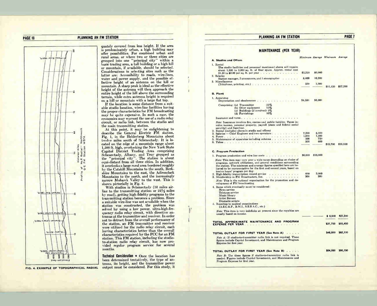#### PLANNING AN FM STATION **PAGE 7**

#### PAGE 10 PLANNING AN FM STATION



FIG. 4. EXAMPLE OF TOPOGRAPHICAL RADIAL

quately covered from less height. If the area is predominately urban, a high building may offer possibilities. For combined urban and rural areas, or where two or three cities are grouped into one "principal city" within a basic trading area, a tall building or a high hill or mountain, if available, should be selected. Considerations in selecting sites such as the latter are: Accessibility to roads, wire-lines, water and power supply, and the possible effective height of an antenna on the hill or mountain. A sharp peak is ideal as the effective height of the antenna will then approach the entire height of the hill above the surrounding terrain, while extra antenna height is required on a hill or mountain with a large flat top.

If the location is some distance from a suitable studio location, wire-line facilities having the proper characteristics for FM broadcasting may be quite expensive. In such a case, the economics may warrant the use of a radio relay circuit, or radio link, between the studio and the main transmitting station.

At this point, it may be enlightening to describe the General Electric FM station, Fig. 1, in the Helderberg Mountains about twelve miles south of Schenectady. It is located on the edge of a mountain range about 1,500 ft. high, overlooking the New York State Capitol District Trading Area comprising Schenectady, Albany, and Troy grouped as the "principal city". The station is about equi-distant from all three cities. In addition, it overlooks a large rural area bordered roughly by the Catskill Mountains to the south, Berkshire Mountains to the east, the Adirondack Mountains to the north, and the increasingly narrow Mohawk Valley to the west. This is shown pictorially in Fig. 2.

With studios in Schenectady (12 miles airline to the transmitting station or  $22\frac{1}{2}$  miles by road), getting high-fidelity programs to the transmitting station becomes a problem. Since a suitable wire-line was not available when the station was constructed, the problem was solved by using a low power, ultra-high-frequency radio relay circuit, with directive antennas at the transmitter and receiver. In order not to detract from the overall performance of the station, an FM transmitter and receiver were utilized for the radio relay circuit, each having characteristics better than the overall characteristics required by the FCC for an FM station. This FM station, including the studioto-station radio relay circuit, has now provided regular program service for several months.

**Technical Consideration**  $\star$  **Once the location has** been determined tentatively, the type of antenna, its height, and the transmitter power output must be considered. For this study, it

| <b>MAINTENANCE (PER YEAR)</b>                                                                                                                                                                                                                                                          |              |              |                                 |          |
|----------------------------------------------------------------------------------------------------------------------------------------------------------------------------------------------------------------------------------------------------------------------------------------|--------------|--------------|---------------------------------|----------|
|                                                                                                                                                                                                                                                                                        |              |              | Minimum Average Minimum Average |          |
| A. Studios and Offices<br>1. Rental<br>The studio facilities and personnel mentioned above will require                                                                                                                                                                                |              |              |                                 |          |
| about 1,500 to 2,000 sq. ft. of floor space. Approx. rental cost<br>2. Salaries                                                                                                                                                                                                        | \$2,250      | \$6,000      |                                 |          |
| Station manager, 2 announcers, and 1 stenographer $\dots$                                                                                                                                                                                                                              | 8,400        | 10,200       |                                 |          |
| 3. Miscellaneous<br>(Telephone, printing, etc.) $\cdots$                                                                                                                                                                                                                               | 500          | 1,000        | \$11,150                        | \$17,200 |
| <b>B. Plant</b>                                                                                                                                                                                                                                                                        |              |              |                                 |          |
| 1. Apparatus<br>Depreciation and obsolescence                                                                                                                                                                                                                                          | \$4,500      | \$6,000      |                                 |          |
| 25%<br>Comprising: (a) Transmitter<br>15%<br>(b) Other equipment<br>(c) Buildings (if involved) $5\%$<br>(d) Furnishings<br>10%                                                                                                                                                        |              |              |                                 |          |
| Insurance and taxes                                                                                                                                                                                                                                                                    |              |              |                                 |          |
| <i>Note:</i> Insurance involves fire, storms and public liability. Taxes in-<br>volve income, personal property, payroll (state and federal social<br>security) and franchise.                                                                                                         |              |              |                                 |          |
| 2. Rental (included above in studio and offices)<br>3. Salaries - Chief Engineer and two operators                                                                                                                                                                                     | 7,200        | 8,400        |                                 |          |
|                                                                                                                                                                                                                                                                                        | 1,000<br>500 | 1,200<br>750 |                                 |          |
| 5. Maintenance of apparatus including antenna                                                                                                                                                                                                                                          | 500          | 600          |                                 |          |
|                                                                                                                                                                                                                                                                                        |              |              | \$13,700                        | \$16,950 |
| <b>C. Program Production</b>                                                                                                                                                                                                                                                           |              |              |                                 |          |
| 1. Program production and wire line costs                                                                                                                                                                                                                                              | \$6,000      | \$18,000     |                                 |          |
| Note: This item may vary over a wide range depending on choice of<br>programs, network affiliations, and general conditions surrounding<br>the station. The minimum and average figures specified here are be-<br>lieved to be representative for the first and second years, based on |              |              |                                 |          |
| twelve hours' program per day.                                                                                                                                                                                                                                                         |              |              |                                 |          |
| 2. High-fidelity transcription record service<br>3. Membership in FM Broadcasters, Inc.<br>.<br>Note: This is the national organization for the promotion and de-                                                                                                                      | 600<br>300   | 3.000<br>300 |                                 |          |
| velopment of FM broadcasting                                                                                                                                                                                                                                                           |              |              |                                 |          |
| 4. Items which eventually must be considered:<br>News service<br>Teletype service                                                                                                                                                                                                      |              |              |                                 |          |
| Music library<br><b>Artist Bureau</b>                                                                                                                                                                                                                                                  |              |              |                                 |          |
| Dramatic scripts                                                                                                                                                                                                                                                                       |              |              |                                 |          |
| 5. Royalties to musical organizations<br>(A.S.C.A.P., B.M.I., S.E.S.A.C., etc.)                                                                                                                                                                                                        |              |              |                                 |          |
| Note: This item is very indefinite at present since the royalties are                                                                                                                                                                                                                  |              |              |                                 |          |
| usually based on income.                                                                                                                                                                                                                                                               |              |              | \$6,900                         | \$21,300 |
| TOTAL APPROXIMATE MAINTENANCE AND PROGRAM<br><b>EXPENSE PER YEAR.</b>                                                                                                                                                                                                                  |              |              | \$31,750                        | \$55,450 |
| TOTAL OUTLAY FOR FIRST YEAR (See Note A)                                                                                                                                                                                                                                               |              |              | \$48,800                        | \$82,100 |
| Note A: If studio-to-transmitter radio link is not required. These<br>figures include Capital Investment, and Maintenance and Program<br>Expense for first year.                                                                                                                       |              |              |                                 |          |
| TOTAL OUTLAY FOR FIRST YEAR (See Note B)                                                                                                                                                                                                                                               |              |              | \$54,050                        | \$90,150 |
| Note B: Use these figures if studio-to-transmitter radio link is<br>needed. Figures include Capital Investment, and Maintenance and<br>Program Expense for first year.                                                                                                                 |              |              |                                 |          |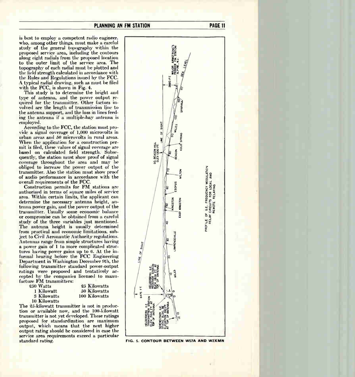PLANNING AN FM STATION **PAGE 11** 

is best to employ a competent radio engineer, who, among other things, must make a careful study of the general topography within the proposed service area, including the contours along eight radials from the proposed location to the outer limit of the service area. The topography of each radial must be plotted and the field strength calculated in accordance with the Rules and Regulations issued by the FCC. A typical radial drawing, such as must be filed with the FCC, is shown in Fig. 4.

This study is to determine the height and type of antenna, and the power output required for the transmitter. Other factors involved are the length of transmission line to the antenna support, and the loss in lines feeding the antenna if a multiple-bay antenna is employed.

According to the FCC, the station must provide a signal coverage of 1,000 microvolts in urban areas and 50 microvolts in rural areas. When the application for a construction permit is filed, these values of signal coverage are based on calculated field strength. Subsequently, the station must show proof of signal coverage throughout the area and may be obliged to increase the power output of the transmitter. Also the station must show proof of audio performance in accordance with the overall requirements of the FCC.

Construction permits for FM stations are authorized in terms of square miles of service area. Within certain limits, the applicant can determine the necessary antenna height, antenna power gain, and the power output of the transmitter. Usually some economic balance or compromise can be obtained from a careful study of the three variables just mentioned. The antenna height is usually determined from practical and economic limitations, subject to Civil Aeronautic Authority regulations. Antennas range from simple structures having a power gain of 1 to more complicated structures having power gains up to 6. At the informal hearing before the FCC Engineering Department in Washington December 9th, the following transmitter standard power-output ratings were proposed and tentatively accepted by the companies licensed to manufacture FM transmitters:<br>250 Watts

| 250 Watts    | 25 Kilowatts  |
|--------------|---------------|
| 1 Kilowatt   | 50 Kilowatts  |
| 3 Kilowatts  | 100 Kilowatts |
| 10 Kilowatts |               |

The 25-kilowatt transmitter is not in production or available now, and the 100-kilowatt transmitter is not yet developed. These ratings proposed for standardization are maximum output, which means that the next higher output rating should be considered in case the service area requirements exceed a particular standard rating.



FIG. 5. CONTOUR BETWEEN W57A AND W2XMN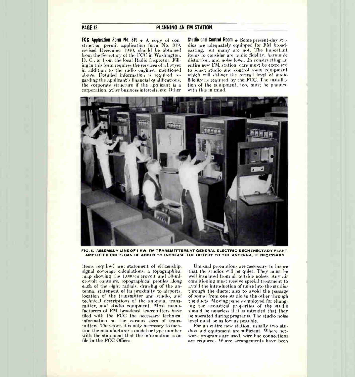#### PAGE 12 PLANNING AN FM STATION

FCC Application Form No. 319  $\pm$  A copy of construction permit application form No. 319, revised December 1940, should be obtained from the Secretary of the FCC in Washington, D. C., or from the local Radio Inspector. Filling in this form requires the services of a lawyer in addition to the radio engineer mentioned above. Detailed information is required regarding the applicant's financial qualifications, the corporate structure if the applicant is a corporation, other business interests, etc. Other

Studio and Control Room  $\star$  Some present-day studios are adequately equipped for FM broadcasting, but many are not. The important items to consider are audio fidelity, harmonic distortion, and noise level. In constructing an entire new FM station, care must be exercised to select studio and control room equipment which will deliver the overall level of audio fidelity as required by the FCC. The installation of the equipment, too, must be planned with this in mind.



FIG. 6. ASSEMBLY LINE OF 1 KW. FM TRANSMITTERS AT GENERAL ELECTRIC'S SCHENECTADY PLANT AMPLIFIER UNITS CAN BE ADDED TO INCREASE THE OUTPUT TO THE ANTENNA, IF NECESSARY

items required are: statement of citizenship, signal coverage calculations, a topographical map showing the 1,000-microvolt and 50-microvolt contours, topographical profiles along each of the eight radials, drawing of the antenna, statement of its proximity to airports, location of the transmitter and studio, and technical descriptions of the antenna, transmitter, and studio equipment. Most manufacturers of FM broadcast transmitters have filed with the FCC the necessary technical information on the various sizes of transmitters. Therefore, it is only necessary to mention the manufacturer's model or type number with the statement that the information is on file in the FCC Offices.

Unusual precautions are necessary to insure that the studios will be quiet. They must be well insulated from all outside noises. Any air conditioning must receive special treatment to avoid the introduction of noise into the studios through the ducts; also to avoid the passage of sound from one studio to the other through the ducts. Moving panels employed for changing the acoustical properties of the studio should be noiseless if it is intended that they be operated during programs. The studio noise level must be as low as possible.

For an entire new station, usually two studios and equipment are sufficient. Where network programs are used, wire line connections are required. Where arrangements have been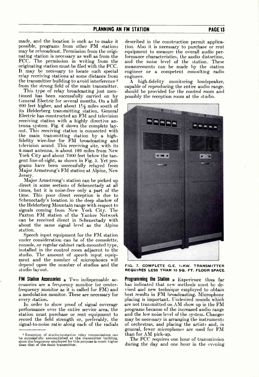made, and the location is such as to make it possible, programs from other FM stations may be rebroadcast. Permission from the originating station is necessary as well as from the FCC. The permission in writing from the originating station must be filed with the FCC. It may be necessary to locate such special relay receiving stations at some distance from the transmitter building to avoid interference<sup>2</sup> from the strong field of the main transmitter.

This type of relay broadcasting just mentioned has been successfully carried on by General Electric for several months. On a hill 200 feet higher, and about  $1\frac{1}{2}$  miles south of its Helderberg transmitting station, General Electric has constructed an FM and television receiving station with a highly directive antenna system. Fig. 2 shows the complete layout. This receiving station is connected with the main transmitting station by a nigh-<br>fidelity wire-line for FM broadcasting and television sound. This receiving site, with its 4-mast antenna, is about 129 miles from New York City and about 7000 feet below the tangent line-of-sight, as shown in Fig. 5. Yet programs have been successfully relayed from Major Armstrong's FM station at Alpine, New Jersey.

Major Armstrong's station can be picked up direct in some sections of Schenectady at all times, but it is noise-free only a part of the time. This poor direct reception is due to Schenectady's location in the deep shadow of the Helderberg Mountain range with respect to signals coming from New York City. The Paxton FM station of the Yankee Network can be received direct in Schenectady with about the same signal level as the Alpine station.

Speech input equipment for the FM station under consideration can be of the consolette, console, or regular cabinet rack-mounted type, installed in the control room adjacent to the studio. The amount of speech input equipment and the number of microphones will depend upon the number of studios and the studio layout.

**FM Station Accessories**  $\star$  Two indispensable accessories are a frequency monitor (or centerfrequency monitor as it is called for FM) and a modulation monitor. These are necessary for every station.

In order to show proof of signal coverage performance over the entire service area, the station must purchase or rent equipment to record the field strength or, preferably, the signal-to-noise ratio along each of the radials

described in the construction permit application. Also it is necessary to purchase or rent equipment to measure the overall audio performance characteristics, the audio distortion, and the noise level of the station. These measurements can be made by the station engineer or a competent consulting radio engineer.

A high-fidelity monitoring loudspeaker, capable of reproducing the entire audio range, should be provided for the control room and possibly the reception room at the studio.



FIG. 7. COMPLETE G.E. 1-KW. TRANSMITTER REQUIRES LESS THAN 10 SQ. FT. FLOOR SPACE

**Programming the Station**  $\star$  **Experience thus far** has indicated that new methods must be devised and new technique employed to obtain best results in FM broadcasting. Microphone placing is important. Undesired sounds which are not transmitted on AM show up in the FM programs because of the increased audio range and the low noise level of the system. Changes may be necessary in arranging the instruments of orchestras, and placing the artists and, in general, fewer microphones are used for FM than for AM pick-up.

The FCC requires one hour of transmission during the day and one hour in the evening

Reception of studio-to-station relay transmissions can be successiumy accomplished at the transmitter building,<br>since the frequency employed for this purpose is much higher<br>than that of the main transmitter.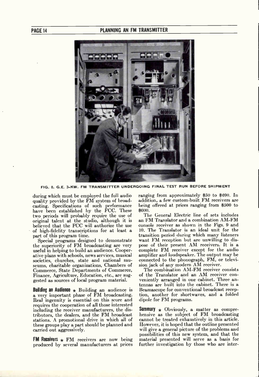

FIG. 8. G.E. 3-KW. FM TRANSMITTER UNDERGOING FINAL TEST RUN BEFORE SHIPMENT

during which must be employed the full audio quality provided by the FM system of broadcasting. Specifications of such performance have been established by the FCC. These two periods will probably require the use of original talent at the studio, although it is believed that the FCC will authorize the use of high-fidelity transcriptions for at least a part of this program time.

Special programs designed to demonstrate the superiority of FM broadcasting are very useful in helping to build an audience. Cooperative plans with schools, news services, musical societies, churches, state and national museums, charitable organizations, Chambers of Commerce, State Departments of Commerce, Finance, Agriculture, Education, etc., are suggested as sources of local program material.

**Building an Audience**  $\star$  Building an audience is a very important phase of FM broadcasting. Real ingenuity is essential on this score and requires the cooperation of all those interested including the receiver manufacturers, the distributors, the dealers, and the FM broadcast stations. A promotional drive in which all of these groups play a part should be planned and carried out aggressively.

**FM Receivers**  $\star$  FM receivers are now being produced by several manufacturers at prices ranging from approximately  $$50$  to  $$200$ . In addition, a few custom-built FM receivers are being offered at prices ranging from \$500 to \$600.

The General Electric line of sets includes an FM Translator and a combination AM-FM console receiver as shown in the Figs. 9 and 10. The Translator is an ideal unit for the transition period during which many listeners want FM reception but are unwilling to dispose of their present AM receivers. It is a complete FM receiver except for the audio amplifier and loudspeaker. The output may be connected to the phonograph, FM, or television jack of any modern AM receiver.

The combination AM-FM receiver consists of the Translator and an AM receiver conveniently arranged in one cabinet. Three an-tennas are built into the cabinet. There is a Beamascope for conventional broadcast reception, another for shortwaves, and a folded dipole for FM programs.

**Summary**  $\star$  Obviously, a matter as comprehensive as the subject of FM broadcasting cannot be treated exhaustively in this article. However, it is hoped that the outline presented will give a general picture of the problems and possibilities of this new system, and that the material presented will serve as a basis for further investigation by those who are inter-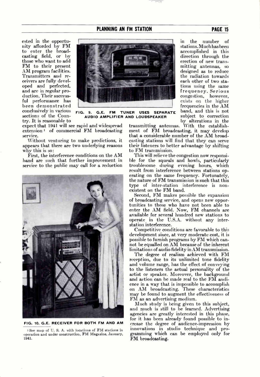#### PLANNING AN FM STATION **PAGE 15**

ested in the opportunity afforded by FM to enter the broadcasting field, or by those who want to add FM to their present AM program facilities. Transmitters and receivers are fully developed and perfected, and are in regular production. Their successful performance has been demonstrated conclusively in various sections of the Country. It is reasonable to



FIG. 9. G.E. FM TUNER USES SEPARATE AUDIO AMPLIFIER AND LOUDSPEAKER

expect that 1941 will see rapid and widespread extension' of commercial FM broadcasting service.

Without venturing to make predictions, it appears that there are two underlying reasons why this is so:

First, the interference conditions on the AM band are such that further improvement in service to the public may call for a reduction



FIG. 10. G.E. RECEIVER FOR BOTH FM AND AM

I See map of U. S. A. with locations of FM stations in operation and under construction, FM Magazine, January, 1941.

in the number of stations. Much has been accomplished in this direction through the erection of new transmitting antennas, so designed as to reduce the radiation towards each other of two stations using the same frequency. Serious congestion, however, exists on the higher frequencies in the AM band, and this is not subject to correction by alterations in the

transmitting antennas. With the establishment of FM broadcasting, it may develop that a considerable number of the AM broadcasting stations will find that they can serve their listeners to better advantage by shifting to FM transmission.

This will relieve the congestion now responsible for the squeals and howls, particularly troublesome during evening hours, which result from interference between stations operating on the same frequency. Fortunately, the nature of FM transmission is such that this type of inter-station interference is nonexistent on the FM band.

Second, FM makes possible the expansion of broadcasting service, and opens new opportunities to those who have not been able to enter the AM field. Now, FM channels are available for several hundred new stations to operate in the U.S.A. without any interstation interference.

Competitive conditions are favorable to this development since, at very moderate cost, it is possible to furnish programs by FM which cannot be equalled on AM because of the inherent limitations of audio fidelity in AM transmission.

The degree of realism achieved with FM reception, due to its unlimited tone fidelity and volume range, has the effect of conveying to the listeners the actual personality of the artist or speaker. Moreover, the background and action can be made real to the FM audience in a way that is impossible to accomplish on AM broadcasting. These characteristics may be found to augment the effectiveness of FM as an advertising medium.

Much study is being given to this subject, and much is still to be learned. Advertising agencies are greatly interested in this phase, for it has been already found possible to increase the degree of audience-impression by innovations in studio technique and programming which can be employed only for FM broadcasting.